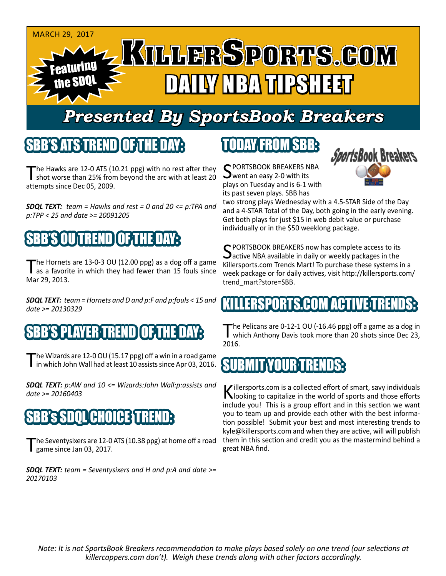

# *Presented By SportsBook Breakers*

#### SBB'S ATSTREND

The Hawks are 12-0 ATS (10.21 ppg) with no rest after they shot worse than 25% from beyond the arc with at least 20 attempts since Dec 05, 2009.

*SDQL TEXT: team = Hawks and rest = 0 and 20 <= p:TPA and p:TPP < 25 and date >= 20091205*



The Hornets are 13-0-3 OU (12.00 ppg) as a dog off a game<br>as a favorite in which they had fewer than 15 fouls since Mar 29, 2013.

*SDQL TEXT: team = Hornets and D and p:F and p:fouls < 15 and date >= 20130329*

## SBB'TAYER TRENDI

The Wizards are 12-0 OU (15.17 ppg) off a win in a road game<br>in which John Wall had at least 10 assists since Apr 03, 2016.

*SDQL TEXT: p:AW and 10 <= Wizards:John Wall:p:assists and date >= 20160403*

#### 'AHOI

he Seventysixers are 12-0 ATS (10.38 ppg) at home off a road game since Jan 03, 2017.

*SDQL TEXT: team = Seventysixers and H and p:A and date >= 20170103*

## TODAY FROM SBB:

C PORTSBOOK BREAKERS NBA went an easy 2-0 with its plays on Tuesday and is 6-1 with its past seven plays. SBB has



two strong plays Wednesday with a 4.5-STAR Side of the Day and a 4-STAR Total of the Day, both going in the early evening. Get both plays for just \$15 in web debit value or purchase individually or in the \$50 weeklong package.

C PORTSBOOK BREAKERS now has complete access to its  $\Delta$ active NBA available in daily or weekly packages in the Killersports.com Trends Mart! To purchase these systems in a week package or for daily actives, visit http://killersports.com/ trend\_mart?store=SBB.

## ERSPORTS.COM ACTIV

The Pelicans are 0-12-1 OU (-16.46 ppg) off a game as a dog in<br>which Anthony Davis took more than 20 shots since Dec 23, 2016.

## SUBMIT YOUR TREND

Killersports.com is a collected effort of smart, savy individuals<br>Nooking to capitalize in the world of sports and those efforts include you! This is a group effort and in this section we want you to team up and provide each other with the best information possible! Submit your best and most interesting trends to kyle@killersports.com and when they are active, will will publish them in this section and credit you as the mastermind behind a great NBA find.

*Note: It is not SportsBook Breakers recommendation to make plays based solely on one trend (our selections at killercappers.com don't). Weigh these trends along with other factors accordingly.*